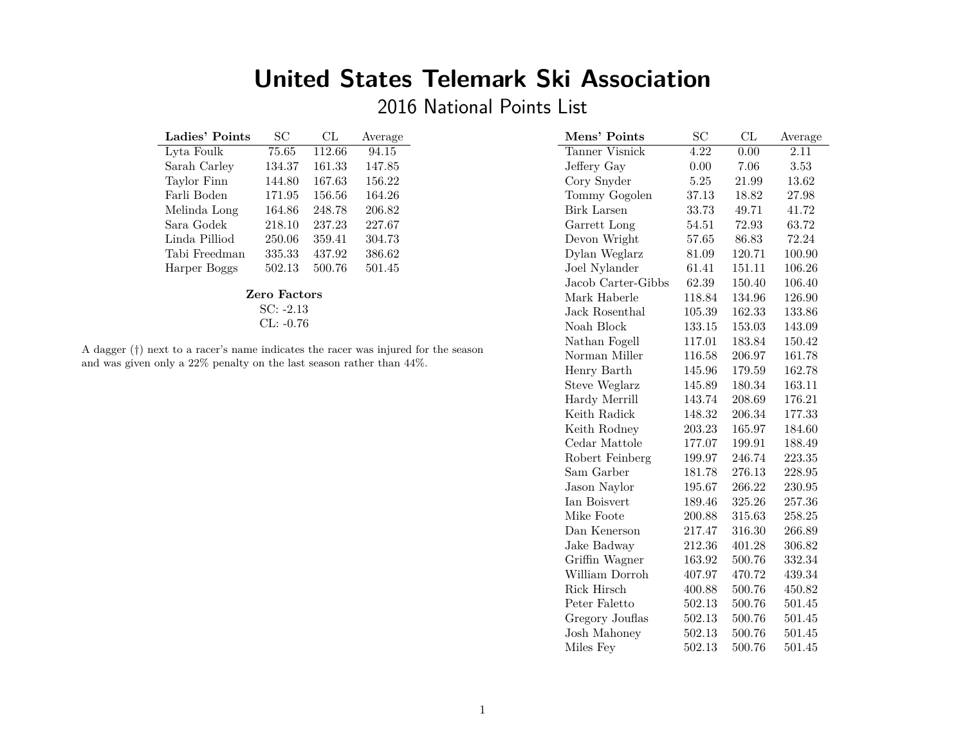# **United States Telemark Ski Association**

2016 National Points List

| Ladies' Points | SС             | CL     | Average |
|----------------|----------------|--------|---------|
| Lyta Foulk     | 75.65          | 112.66 | 94.15   |
| Sarah Carley   | 134.37         | 161.33 | 147.85  |
| Taylor Finn    | 144.80         | 167.63 | 156.22  |
| Farli Boden    | 171.95         | 156.56 | 164.26  |
| Melinda Long   | 164.86         | 248.78 | 206.82  |
| Sara Godek     | 218.10         | 237.23 | 227.67  |
| Linda Pilliod  | 250.06         | 359.41 | 304.73  |
| Tabi Freedman  | 335.33         | 437.92 | 386.62  |
| Harper Boggs   | 502.13         | 500.76 | 501.45  |
|                | $\blacksquare$ |        |         |

#### **Zero Factors**

SC: -2.13 CL: -0.76

A dagger (*†*) next to a racer's name indicates the racer was injured for the season and was given only a 22% penalty on the last season rather than 44%.

| Mens' Points        | SC                | CL     | Average |
|---------------------|-------------------|--------|---------|
| Tanner Visnick      | $\overline{4.22}$ | 0.00   | 2.11    |
| Jeffery Gay         | 0.00              | 7.06   | 3.53    |
| Cory Snyder         | 5.25              | 21.99  | 13.62   |
| Tommy Gogolen       | 37.13             | 18.82  | 27.98   |
| <b>Birk Larsen</b>  | 33.73             | 49.71  | 41.72   |
| Garrett Long        | 54.51             | 72.93  | 63.72   |
| Devon Wright        | 57.65             | 86.83  | 72.24   |
| Dylan Weglarz       | 81.09             | 120.71 | 100.90  |
| Joel Nylander       | 61.41             | 151.11 | 106.26  |
| Jacob Carter-Gibbs  | 62.39             | 150.40 | 106.40  |
| Mark Haberle        | 118.84            | 134.96 | 126.90  |
| Jack Rosenthal      | 105.39            | 162.33 | 133.86  |
| Noah Block          | 133.15            | 153.03 | 143.09  |
| Nathan Fogell       | 117.01            | 183.84 | 150.42  |
| Norman Miller       | 116.58            | 206.97 | 161.78  |
| Henry Barth         | 145.96            | 179.59 | 162.78  |
| Steve Weglarz       | 145.89            | 180.34 | 163.11  |
| Hardy Merrill       | 143.74            | 208.69 | 176.21  |
| Keith Radick        | 148.32            | 206.34 | 177.33  |
| Keith Rodney        | 203.23            | 165.97 | 184.60  |
| Cedar Mattole       | 177.07            | 199.91 | 188.49  |
| Robert Feinberg     | 199.97            | 246.74 | 223.35  |
| Sam Garber          | 181.78            | 276.13 | 228.95  |
| Jason Naylor        | 195.67            | 266.22 | 230.95  |
| Ian Boisvert        | 189.46            | 325.26 | 257.36  |
| Mike Foote          | 200.88            | 315.63 | 258.25  |
| Dan Kenerson        | 217.47            | 316.30 | 266.89  |
| Jake Badway         | 212.36            | 401.28 | 306.82  |
| Griffin Wagner      | 163.92            | 500.76 | 332.34  |
| William Dorroh      | 407.97            | 470.72 | 439.34  |
| Rick Hirsch         | 400.88            | 500.76 | 450.82  |
| Peter Faletto       | 502.13            | 500.76 | 501.45  |
| Gregory Jouflas     | 502.13            | 500.76 | 501.45  |
| <b>Josh Mahoney</b> | 502.13            | 500.76 | 501.45  |
| Miles Fey           | 502.13            | 500.76 | 501.45  |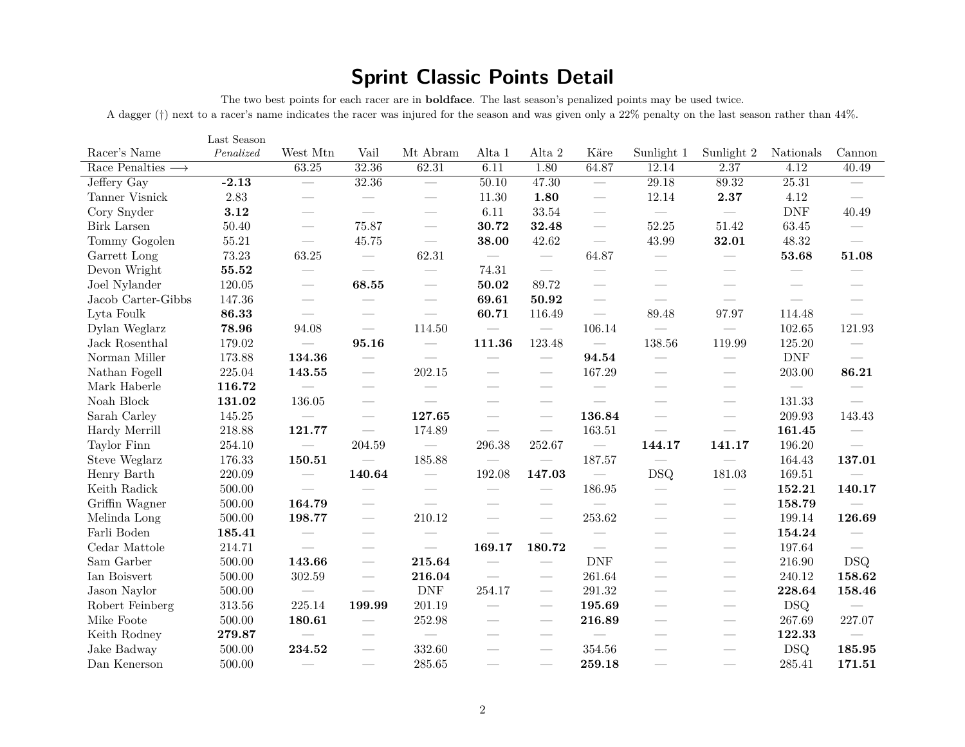## **Sprint Classic Points Detail**

The two best points for each racer are in **boldface**. The last season's penalized points may be used twice.

A dagger (*†*) next to a racer's name indicates the racer was injured for the season and was given only a 22% penalty on the last season rather than 44%.

|                                  | Last Season |                                 |                                 |                                 |                                   |                                 |                                 |                                 |                                 |                                 |                                 |
|----------------------------------|-------------|---------------------------------|---------------------------------|---------------------------------|-----------------------------------|---------------------------------|---------------------------------|---------------------------------|---------------------------------|---------------------------------|---------------------------------|
| Racer's Name                     | Penalized   | West Mtn                        | Vail                            | Mt Abram                        | Alta 1                            | Alta 2                          | Käre                            | Sunlight 1                      | Sunlight 2                      | Nationals                       | Cannon                          |
| Race Penalties $\longrightarrow$ |             | 63.25                           | 32.36                           | 62.31                           | 6.11                              | 1.80                            | 64.87                           | 12.14                           | 2.37                            | 4.12                            | 40.49                           |
| Jeffery Gay                      | $-2.13$     |                                 | 32.36                           | $\hspace{0.1mm}-\hspace{0.1mm}$ | 50.10                             | 47.30                           | $\hspace{0.1mm}-\hspace{0.1mm}$ | 29.18                           | 89.32                           | 25.31                           | $\hspace{0.1mm}-\hspace{0.1mm}$ |
| Tanner Visnick                   | $2.83\,$    | $\overline{\phantom{0}}$        | $\overline{\phantom{a}}$        | $\hspace{0.1mm}-\hspace{0.1mm}$ | 11.30                             | 1.80                            | $\overbrace{\phantom{12333}}$   | 12.14                           | 2.37                            | 4.12                            | $\overline{\phantom{a}}$        |
| Cory Snyder                      | 3.12        |                                 | $\overline{\phantom{m}}$        | $\overline{\phantom{a}}$        | 6.11                              | 33.54                           | $\overline{\phantom{a}}$        | $\overline{\phantom{a}}$        | $\overline{\phantom{0}}$        | <b>DNF</b>                      | 40.49                           |
| <b>Birk Larsen</b>               | 50.40       | $\overline{\phantom{a}}$        | 75.87                           | $\overline{\phantom{m}}$        | 30.72                             | 32.48                           | $\hspace{0.1mm}-\hspace{0.1mm}$ | 52.25                           | 51.42                           | 63.45                           | $\hspace{0.1mm}-\hspace{0.1mm}$ |
| Tommy Gogolen                    | 55.21       |                                 | 45.75                           | $\overline{\phantom{m}}$        | 38.00                             | 42.62                           | $\overline{\phantom{m}}$        | 43.99                           | 32.01                           | 48.32                           | $\overline{\phantom{a}}$        |
| Garrett Long                     | 73.23       | 63.25                           | $\hspace{0.1mm}-\hspace{0.1mm}$ | 62.31                           | $\hspace{0.1mm}-\hspace{0.1mm}$   | $\hspace{0.1mm}-\hspace{0.1mm}$ | 64.87                           | $\hspace{0.1mm}-\hspace{0.1mm}$ | $\hspace{0.05cm}$               | 53.68                           | 51.08                           |
| Devon Wright                     | 55.52       |                                 | $\overline{\phantom{a}}$        | $\overline{\phantom{a}}$        | 74.31                             | $\overline{\phantom{m}}$        | $\hspace{0.1mm}-\hspace{0.1mm}$ | $\overbrace{\qquad \qquad }^{}$ | $\hspace{0.1mm}-\hspace{0.1mm}$ | $\overline{\phantom{a}}$        |                                 |
| Joel Nylander                    | 120.05      | $\hspace{0.1mm}-\hspace{0.1mm}$ | 68.55                           | $\hspace{0.1mm}-\hspace{0.1mm}$ | 50.02                             | 89.72                           | $\hspace{0.05cm}$               | $\overbrace{\qquad \qquad }^{}$ |                                 | $\hspace{0.05cm}$               | $\overbrace{\qquad \qquad }^{}$ |
| Jacob Carter-Gibbs               | 147.36      | $\hspace{0.05cm}$               |                                 | $\overbrace{\qquad \qquad }^{}$ | 69.61                             | 50.92                           | $\hspace{0.1mm}-\hspace{0.1mm}$ | $\hspace{0.1mm}-\hspace{0.1mm}$ | $\hspace{0.1mm}-\hspace{0.1mm}$ | $\hspace{0.1mm}-\hspace{0.1mm}$ | $\hspace{0.1mm}-\hspace{0.1mm}$ |
| Lyta Foulk                       | 86.33       | $\overline{\phantom{a}}$        |                                 | $\overline{\phantom{m}}$        | 60.71                             | 116.49                          |                                 | 89.48                           | 97.97                           | 114.48                          | $\overline{\phantom{m}}$        |
| Dylan Weglarz                    | 78.96       | 94.08                           | $\hspace{0.1mm}-\hspace{0.1mm}$ | 114.50                          |                                   |                                 | 106.14                          |                                 |                                 | 102.65                          | 121.93                          |
| Jack Rosenthal                   | 179.02      | $\overline{\phantom{a}}$        | 95.16                           | $\hspace{0.1mm}-\hspace{0.1mm}$ | 111.36                            | 123.48                          | $\hspace{0.1mm}-\hspace{0.1mm}$ | 138.56                          | 119.99                          | 125.20                          | $\hspace{0.1mm}-\hspace{0.1mm}$ |
| Norman Miller                    | 173.88      | 134.36                          | $\hspace{0.1mm}-\hspace{0.1mm}$ | $\hspace{0.1mm}-\hspace{0.1mm}$ | $\hspace{0.1mm}-\hspace{0.1mm}$   | $\hspace{0.1mm}-\hspace{0.1mm}$ | 94.54                           | $\hspace{0.1mm}-\hspace{0.1mm}$ | $\hspace{0.05cm}$               | <b>DNF</b>                      | $\hspace{0.1mm}-\hspace{0.1mm}$ |
| Nathan Fogell                    | 225.04      | 143.55                          | $\hspace{0.05cm}$               | 202.15                          | $\overbrace{\qquad \qquad }^{}$   | $\hspace{0.1mm}-\hspace{0.1mm}$ | 167.29                          | $\hspace{0.1mm}-\hspace{0.1mm}$ | $\hspace{0.1mm}-\hspace{0.1mm}$ | 203.00                          | 86.21                           |
| Mark Haberle                     | 116.72      |                                 | $\hspace{0.1mm}-\hspace{0.1mm}$ | $\overline{\phantom{a}}$        |                                   | $\hspace{0.05cm}$               | $\hspace{0.1mm}-\hspace{0.1mm}$ |                                 |                                 | $\hspace{0.1mm}-\hspace{0.1mm}$ | $\overline{\phantom{a}}$        |
| Noah Block                       | 131.02      | 136.05                          | $\hspace{0.1mm}-\hspace{0.1mm}$ | $\hspace{0.05cm}$               | $\hspace{1.0cm} \overbrace{ }^{}$ | $\hspace{0.05cm}$               | $\hspace{0.1mm}-\hspace{0.1mm}$ | $\overbrace{\qquad \qquad }^{}$ | $\hspace{0.1mm}-\hspace{0.1mm}$ | 131.33                          | $\overline{\phantom{m}}$        |
| Sarah Carley                     | 145.25      | $\overline{\phantom{a}}$        | $\hspace{0.1mm}-\hspace{0.1mm}$ | 127.65                          | $\overline{\phantom{m}}$          | $\frac{1}{2}$                   | 136.84                          | $\overline{\phantom{a}}$        | $\frac{1}{2}$                   | 209.93                          | 143.43                          |
| Hardy Merrill                    | 218.88      | 121.77                          | $\hspace{0.1mm}-\hspace{0.1mm}$ | 174.89                          |                                   | $\hspace{0.1mm}-\hspace{0.1mm}$ | 163.51                          | $\hspace{0.1mm}-\hspace{0.1mm}$ | $\hspace{0.05cm}$               | 161.45                          | $\hspace{0.05cm}$               |
| Taylor Finn                      | 254.10      | $\overbrace{\qquad \qquad }^{}$ | 204.59                          | $\overline{\phantom{m}}$        | 296.38                            | 252.67                          | $\overline{\phantom{m}}$        | 144.17                          | 141.17                          | 196.20                          | $\overline{\phantom{a}}$        |
| Steve Weglarz                    | 176.33      | 150.51                          | $\overline{\phantom{m}}$        | 185.88                          | $\hspace{0.1mm}-\hspace{0.1mm}$   | $\overline{\phantom{m}}$        | 187.57                          | $\hspace{0.1mm}-\hspace{0.1mm}$ |                                 | 164.43                          | 137.01                          |
| Henry Barth                      | 220.09      |                                 | 140.64                          | $\hspace{0.1mm}-\hspace{0.1mm}$ | 192.08                            | 147.03                          | $\overline{\phantom{m}}$        | <b>DSQ</b>                      | 181.03                          | 169.51                          | $\overline{\phantom{a}}$        |
| Keith Radick                     | 500.00      | $\overline{\phantom{a}}$        | $\overline{\phantom{m}}$        | $\overline{\phantom{a}}$        | $\overline{\phantom{a}}$          | $\overline{\phantom{m}}$        | 186.95                          | $\hspace{0.1mm}-\hspace{0.1mm}$ | $\overline{\phantom{a}}$        | 152.21                          | 140.17                          |
| Griffin Wagner                   | 500.00      | 164.79                          | $\overline{\phantom{a}}$        | $\overline{\phantom{m}}$        |                                   |                                 | $\frac{1}{2}$                   |                                 | $\hspace{0.1mm}-\hspace{0.1mm}$ | 158.79                          | $\overline{\phantom{a}}$        |
| Melinda Long                     | 500.00      | 198.77                          | $\hspace{0.05cm}$               | 210.12                          |                                   |                                 | 253.62                          |                                 | $\hspace{0.05cm}$               | 199.14                          | 126.69                          |
| Farli Boden                      | 185.41      |                                 | $\overline{\phantom{a}}$        |                                 | $\overline{\phantom{a}}$          | $\overline{\phantom{a}}$        | $\overline{\phantom{a}}$        | $\overbrace{\qquad \qquad }^{}$ | $\hspace{0.1mm}-\hspace{0.1mm}$ | 154.24                          | $\hspace{0.1mm}-\hspace{0.1mm}$ |
| Cedar Mattole                    | 214.71      |                                 |                                 | $\overline{\phantom{m}}$        | 169.17                            | 180.72                          |                                 |                                 | $\overline{\phantom{a}}$        | 197.64                          | $\overline{\phantom{m}}$        |
| Sam Garber                       | 500.00      | 143.66                          |                                 | 215.64                          | $\overline{\phantom{m}}$          |                                 | <b>DNF</b>                      |                                 | $\frac{1}{2}$                   | 216.90                          | <b>DSQ</b>                      |
| Ian Boisvert                     | 500.00      | 302.59                          |                                 | 216.04                          |                                   |                                 | 261.64                          |                                 |                                 | 240.12                          | 158.62                          |
| Jason Naylor                     | 500.00      | $\overline{\phantom{a}}$        | $\overline{\phantom{m}}$        | <b>DNF</b>                      | 254.17                            | $\overline{\phantom{a}}$        | 291.32                          |                                 | $\hspace{0.05cm}$               | 228.64                          | 158.46                          |
| Robert Feinberg                  | $313.56\,$  | 225.14                          | 199.99                          | 201.19                          | $\overline{\phantom{a}}$          | $\overline{\phantom{a}}$        | 195.69                          |                                 | $\overline{\phantom{a}}$        | <b>DSQ</b>                      | $\overline{\phantom{a}}$        |
| Mike Foote                       | 500.00      | 180.61                          | $\hspace{0.05cm}$               | 252.98                          |                                   | $\hspace{0.05cm}$               | 216.89                          |                                 | $\hspace{0.05cm}$               | 267.69                          | 227.07                          |
| Keith Rodney                     | 279.87      | $\overline{\phantom{a}}$        | $\overline{\phantom{a}}$        | $\hspace{0.1mm}-\hspace{0.1mm}$ | $\hspace{1.0cm} \overbrace{ }^{}$ | $\hspace{0.05cm}$               | $\hspace{0.1mm}-\hspace{0.1mm}$ |                                 | $\hspace{0.1mm}-\hspace{0.1mm}$ | 122.33                          | $\hspace{0.1mm}-\hspace{0.1mm}$ |
| Jake Badway                      | 500.00      | 234.52                          | $\hspace{0.1mm}-\hspace{0.1mm}$ | 332.60                          | $\overline{\phantom{a}}$          | $\overline{\phantom{a}}$        | 354.56                          |                                 | $\hspace{0.1mm}-\hspace{0.1mm}$ | <b>DSQ</b>                      | 185.95                          |
| Dan Kenerson                     | 500.00      |                                 | $\overline{\phantom{a}}$        | 285.65                          |                                   |                                 | 259.18                          |                                 | $\overline{\phantom{a}}$        | 285.41                          | 171.51                          |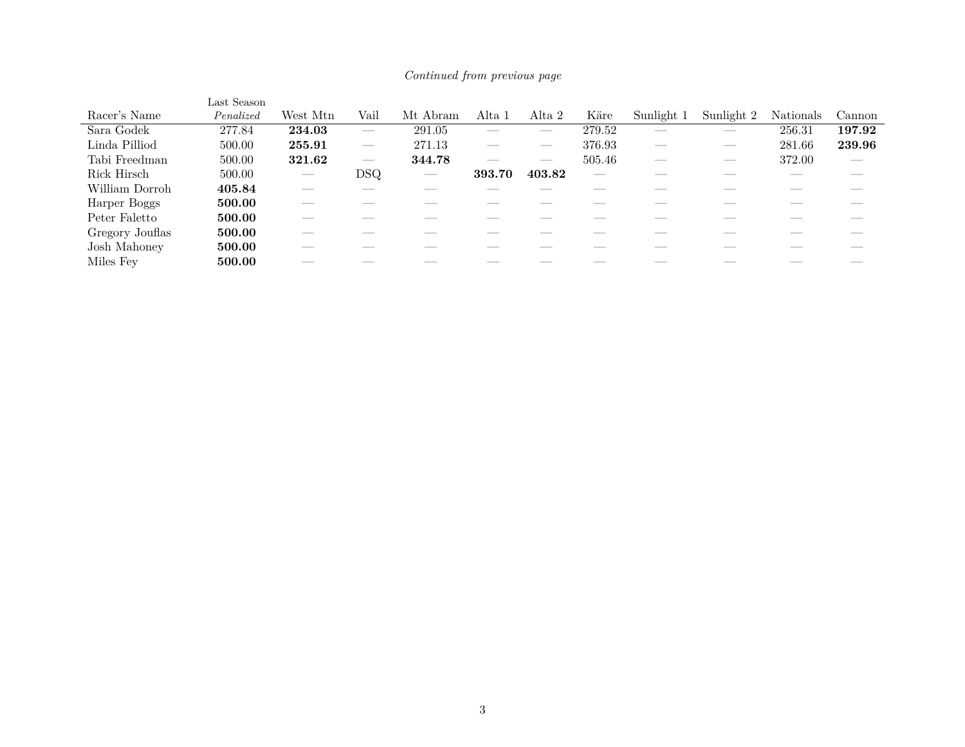|                 | Last Season |                          |               |          |                          |                          |        |            |                          |           |               |
|-----------------|-------------|--------------------------|---------------|----------|--------------------------|--------------------------|--------|------------|--------------------------|-----------|---------------|
| Racer's Name    | Penalized   | West Mtn                 | Vail          | Mt Abram | Alta 1                   | Alta 2                   | Käre   | Sunlight 1 | Sunlight 2               | Nationals | Cannon        |
| Sara Godek      | 277.84      | 234.03                   |               | 291.05   | __                       | __                       | 279.52 |            | $\overline{\phantom{a}}$ | 256.31    | 197.92        |
| Linda Pilliod   | 500.00      | 255.91                   |               | 271.13   | __                       | $\overline{\phantom{a}}$ | 376.93 | __         | $-$                      | 281.66    | 239.96        |
| Tabi Freedman   | 500.00      | 321.62                   |               | 344.78   | $\overline{\phantom{a}}$ | __                       | 505.46 | __         | $\overline{\phantom{a}}$ | 372.00    | $\frac{1}{2}$ |
| Rick Hirsch     | 500.00      | $\overline{\phantom{a}}$ | $_{\rm{DSQ}}$ | _        | 393.70                   | 403.82                   | __     |            |                          |           |               |
| William Dorroh  | 405.84      |                          |               |          |                          |                          |        |            |                          |           |               |
| Harper Boggs    | 500.00      | __                       |               |          |                          |                          |        |            |                          |           | ___           |
| Peter Faletto   | 500.00      | __                       |               |          |                          |                          |        |            |                          |           |               |
| Gregory Jouflas | 500.00      |                          |               |          |                          |                          |        |            |                          |           |               |
| Josh Mahoney    | 500.00      |                          |               |          |                          |                          |        |            |                          |           |               |
| Miles Fev       | 500.00      | ---                      |               |          |                          |                          |        |            |                          |           | ___           |

### *Continued from previous page*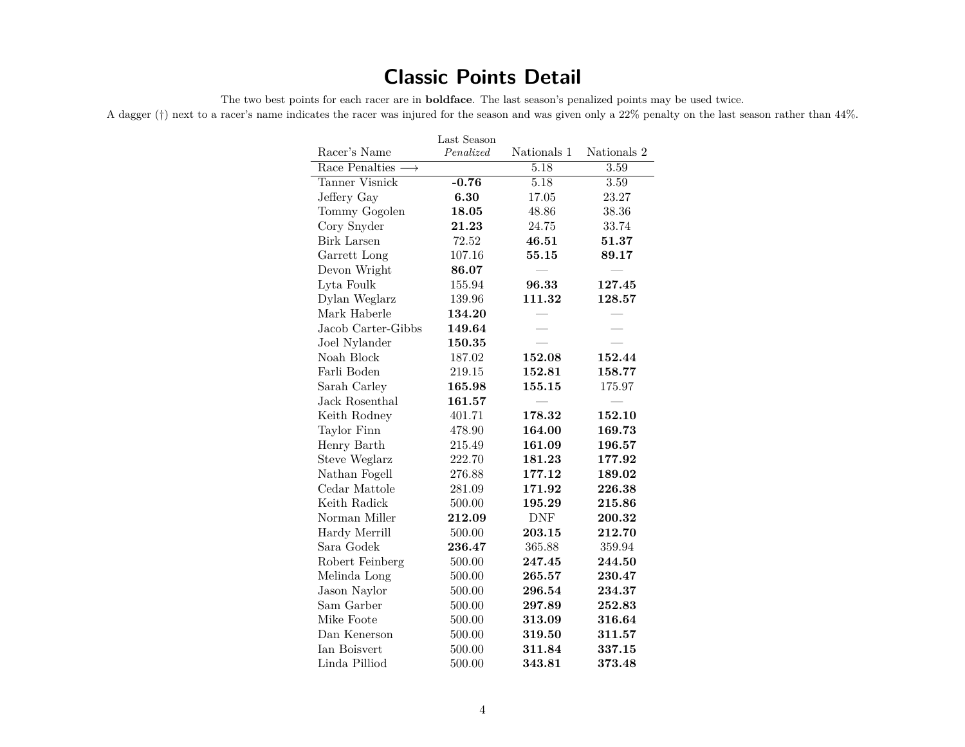### **Classic Points Detail**

The two best points for each racer are in **boldface**. The last season's penalized points may be used twice.

A dagger (*†*) next to a racer's name indicates the racer was injured for the season and was given only a 22% penalty on the last season rather than 44%.

| Racer's Name                     | Last Season<br>Penalized | Nationals 1 | Nationals 2          |
|----------------------------------|--------------------------|-------------|----------------------|
| Race Penalties $\longrightarrow$ |                          | 5.18        | 3.59                 |
| Tanner Visnick                   | $-0.76$                  | 5.18        | 3.59                 |
| Jeffery Gay                      | 6.30                     | 17.05       | 23.27                |
| Tommy Gogolen                    | 18.05                    | 48.86       | 38.36                |
| Cory Snyder                      | 21.23                    | 24.75       | 33.74                |
| Birk Larsen                      | 72.52                    | 46.51       | $\boldsymbol{51.37}$ |
| Garrett Long                     | 107.16                   | 55.15       | 89.17                |
| Devon Wright                     | 86.07                    |             |                      |
| Lyta Foulk                       | 155.94                   | 96.33       | 127.45               |
| Dylan Weglarz                    | 139.96                   | 111.32      | 128.57               |
| Mark Haberle                     | 134.20                   |             |                      |
| Jacob Carter-Gibbs               | 149.64                   |             |                      |
| Joel Nylander                    | 150.35                   |             |                      |
| Noah Block                       | 187.02                   | 152.08      | 152.44               |
| Farli Boden                      | 219.15                   | 152.81      | 158.77               |
| Sarah Carley                     | 165.98                   | 155.15      | 175.97               |
| Jack Rosenthal                   | 161.57                   |             |                      |
| Keith Rodney                     | 401.71                   | 178.32      | 152.10               |
| Taylor Finn                      | 478.90                   | 164.00      | 169.73               |
| Henry Barth                      | 215.49                   | 161.09      | 196.57               |
| Steve Weglarz                    | 222.70                   | 181.23      | 177.92               |
| Nathan Fogell                    | 276.88                   | 177.12      | 189.02               |
| Cedar Mattole                    | 281.09                   | 171.92      | 226.38               |
| Keith Radick                     | 500.00                   | 195.29      | 215.86               |
| Norman Miller                    | 212.09                   | <b>DNF</b>  | 200.32               |
| Hardy Merrill                    | 500.00                   | 203.15      | 212.70               |
| Sara Godek                       | 236.47                   | 365.88      | 359.94               |
| Robert Feinberg                  | 500.00                   | 247.45      | 244.50               |
| Melinda Long                     | 500.00                   | 265.57      | 230.47               |
| Jason Naylor                     | 500.00                   | 296.54      | 234.37               |
| Sam Garber                       | 500.00                   | 297.89      | 252.83               |
| Mike Foote                       | 500.00                   | 313.09      | 316.64               |
| Dan Kenerson                     | 500.00                   | 319.50      | 311.57               |
| Ian Boisvert                     | 500.00                   | 311.84      | 337.15               |
| Linda Pilliod                    | 500.00                   | 343.81      | 373.48               |